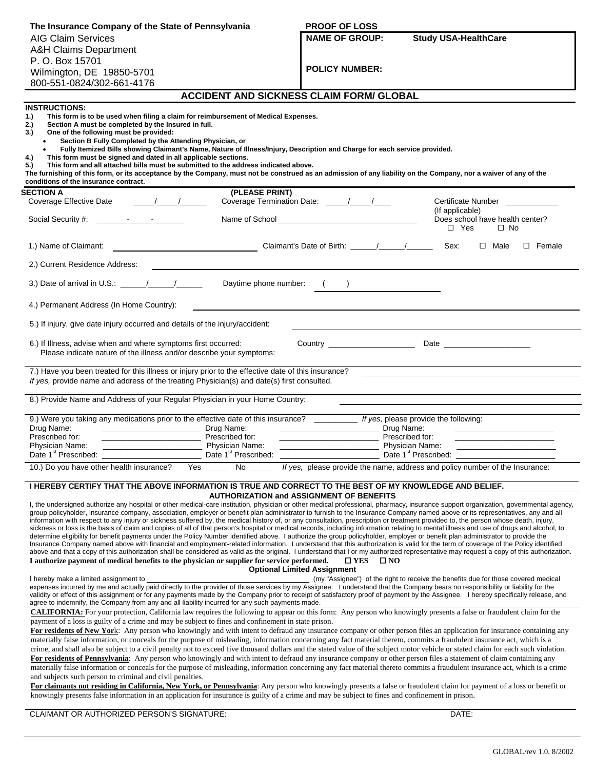| The Insurance Company of the State of Pennsylvania                                                                                                                                                                                                                                                                                                                                                                                                                                                         | <b>PROOF OF LOSS</b>                                                                                                                                                                                                                                                                                                                                                                                                                                                                                                                                                                                                                                                                                                                                                                                                                                                                                                                                                                                                                                                                                                                                                                                                                                                                                                                                                                                                                                 |
|------------------------------------------------------------------------------------------------------------------------------------------------------------------------------------------------------------------------------------------------------------------------------------------------------------------------------------------------------------------------------------------------------------------------------------------------------------------------------------------------------------|------------------------------------------------------------------------------------------------------------------------------------------------------------------------------------------------------------------------------------------------------------------------------------------------------------------------------------------------------------------------------------------------------------------------------------------------------------------------------------------------------------------------------------------------------------------------------------------------------------------------------------------------------------------------------------------------------------------------------------------------------------------------------------------------------------------------------------------------------------------------------------------------------------------------------------------------------------------------------------------------------------------------------------------------------------------------------------------------------------------------------------------------------------------------------------------------------------------------------------------------------------------------------------------------------------------------------------------------------------------------------------------------------------------------------------------------------|
| <b>AIG Claim Services</b>                                                                                                                                                                                                                                                                                                                                                                                                                                                                                  | <b>NAME OF GROUP:</b><br><b>Study USA-HealthCare</b>                                                                                                                                                                                                                                                                                                                                                                                                                                                                                                                                                                                                                                                                                                                                                                                                                                                                                                                                                                                                                                                                                                                                                                                                                                                                                                                                                                                                 |
| <b>A&amp;H Claims Department</b>                                                                                                                                                                                                                                                                                                                                                                                                                                                                           |                                                                                                                                                                                                                                                                                                                                                                                                                                                                                                                                                                                                                                                                                                                                                                                                                                                                                                                                                                                                                                                                                                                                                                                                                                                                                                                                                                                                                                                      |
| P. O. Box 15701                                                                                                                                                                                                                                                                                                                                                                                                                                                                                            |                                                                                                                                                                                                                                                                                                                                                                                                                                                                                                                                                                                                                                                                                                                                                                                                                                                                                                                                                                                                                                                                                                                                                                                                                                                                                                                                                                                                                                                      |
| Wilmington, DE 19850-5701                                                                                                                                                                                                                                                                                                                                                                                                                                                                                  | <b>POLICY NUMBER:</b>                                                                                                                                                                                                                                                                                                                                                                                                                                                                                                                                                                                                                                                                                                                                                                                                                                                                                                                                                                                                                                                                                                                                                                                                                                                                                                                                                                                                                                |
| 800-551-0824/302-661-4176                                                                                                                                                                                                                                                                                                                                                                                                                                                                                  |                                                                                                                                                                                                                                                                                                                                                                                                                                                                                                                                                                                                                                                                                                                                                                                                                                                                                                                                                                                                                                                                                                                                                                                                                                                                                                                                                                                                                                                      |
|                                                                                                                                                                                                                                                                                                                                                                                                                                                                                                            | <b>ACCIDENT AND SICKNESS CLAIM FORM/ GLOBAL</b>                                                                                                                                                                                                                                                                                                                                                                                                                                                                                                                                                                                                                                                                                                                                                                                                                                                                                                                                                                                                                                                                                                                                                                                                                                                                                                                                                                                                      |
| <b>INSTRUCTIONS:</b><br>1.)<br>This form is to be used when filing a claim for reimbursement of Medical Expenses.<br>2.)<br>Section A must be completed by the Insured in full.<br>3.<br>One of the following must be provided:<br>Section B Fully Completed by the Attending Physician, or<br>4.)<br>This form must be signed and dated in all applicable sections.<br>5.)<br>This form and all attached bills must be submitted to the address indicated above.<br>conditions of the insurance contract. | Fully Itemized Bills showing Claimant's Name, Nature of Illness/Injury, Description and Charge for each service provided.<br>The furnishing of this form, or its acceptance by the Company, must not be construed as an admission of any liability on the Company, nor a waiver of any of the                                                                                                                                                                                                                                                                                                                                                                                                                                                                                                                                                                                                                                                                                                                                                                                                                                                                                                                                                                                                                                                                                                                                                        |
| <b>SECTION A</b>                                                                                                                                                                                                                                                                                                                                                                                                                                                                                           | (PLEASE PRINT)                                                                                                                                                                                                                                                                                                                                                                                                                                                                                                                                                                                                                                                                                                                                                                                                                                                                                                                                                                                                                                                                                                                                                                                                                                                                                                                                                                                                                                       |
| $\frac{1}{\sqrt{2}}$<br>Coverage Effective Date                                                                                                                                                                                                                                                                                                                                                                                                                                                            | Certificate Number<br>(If applicable)                                                                                                                                                                                                                                                                                                                                                                                                                                                                                                                                                                                                                                                                                                                                                                                                                                                                                                                                                                                                                                                                                                                                                                                                                                                                                                                                                                                                                |
|                                                                                                                                                                                                                                                                                                                                                                                                                                                                                                            | Does school have health center?<br>$\square$ Yes<br>$\Box$ No                                                                                                                                                                                                                                                                                                                                                                                                                                                                                                                                                                                                                                                                                                                                                                                                                                                                                                                                                                                                                                                                                                                                                                                                                                                                                                                                                                                        |
| 1.) Name of Claimant:                                                                                                                                                                                                                                                                                                                                                                                                                                                                                      | Sex:<br>$\Box$ Male<br>$\square$ Female                                                                                                                                                                                                                                                                                                                                                                                                                                                                                                                                                                                                                                                                                                                                                                                                                                                                                                                                                                                                                                                                                                                                                                                                                                                                                                                                                                                                              |
| 2.) Current Residence Address:                                                                                                                                                                                                                                                                                                                                                                                                                                                                             |                                                                                                                                                                                                                                                                                                                                                                                                                                                                                                                                                                                                                                                                                                                                                                                                                                                                                                                                                                                                                                                                                                                                                                                                                                                                                                                                                                                                                                                      |
| 3.) Date of arrival in U.S.: $\frac{1}{2}$                                                                                                                                                                                                                                                                                                                                                                                                                                                                 | Daytime phone number: ()                                                                                                                                                                                                                                                                                                                                                                                                                                                                                                                                                                                                                                                                                                                                                                                                                                                                                                                                                                                                                                                                                                                                                                                                                                                                                                                                                                                                                             |
| 4.) Permanent Address (In Home Country):                                                                                                                                                                                                                                                                                                                                                                                                                                                                   |                                                                                                                                                                                                                                                                                                                                                                                                                                                                                                                                                                                                                                                                                                                                                                                                                                                                                                                                                                                                                                                                                                                                                                                                                                                                                                                                                                                                                                                      |
| 5.) If injury, give date injury occurred and details of the injury/accident:                                                                                                                                                                                                                                                                                                                                                                                                                               |                                                                                                                                                                                                                                                                                                                                                                                                                                                                                                                                                                                                                                                                                                                                                                                                                                                                                                                                                                                                                                                                                                                                                                                                                                                                                                                                                                                                                                                      |
| Please indicate nature of the illness and/or describe your symptoms:<br>7.) Have you been treated for this illness or injury prior to the effective date of this insurance?<br>If yes, provide name and address of the treating Physician(s) and date(s) first consulted.<br>8.) Provide Name and Address of your Regular Physician in your Home Country:                                                                                                                                                  |                                                                                                                                                                                                                                                                                                                                                                                                                                                                                                                                                                                                                                                                                                                                                                                                                                                                                                                                                                                                                                                                                                                                                                                                                                                                                                                                                                                                                                                      |
|                                                                                                                                                                                                                                                                                                                                                                                                                                                                                                            |                                                                                                                                                                                                                                                                                                                                                                                                                                                                                                                                                                                                                                                                                                                                                                                                                                                                                                                                                                                                                                                                                                                                                                                                                                                                                                                                                                                                                                                      |
|                                                                                                                                                                                                                                                                                                                                                                                                                                                                                                            | 9.) Were you taking any medications prior to the effective date of this insurance? _______ If yes, please provide the following:                                                                                                                                                                                                                                                                                                                                                                                                                                                                                                                                                                                                                                                                                                                                                                                                                                                                                                                                                                                                                                                                                                                                                                                                                                                                                                                     |
| Drug Name:<br>Drug Name:<br>Prescribed for:<br>Prescribed for:                                                                                                                                                                                                                                                                                                                                                                                                                                             | Drug Name:<br>Prescribed for:                                                                                                                                                                                                                                                                                                                                                                                                                                                                                                                                                                                                                                                                                                                                                                                                                                                                                                                                                                                                                                                                                                                                                                                                                                                                                                                                                                                                                        |
| <b>Physician Name:</b><br><b>Physician Name:</b>                                                                                                                                                                                                                                                                                                                                                                                                                                                           | Physician Name:                                                                                                                                                                                                                                                                                                                                                                                                                                                                                                                                                                                                                                                                                                                                                                                                                                                                                                                                                                                                                                                                                                                                                                                                                                                                                                                                                                                                                                      |
| Date 1 <sup>st</sup> Prescribed:<br>Date 1 <sup>st</sup> Prescribed:                                                                                                                                                                                                                                                                                                                                                                                                                                       | Date 1 <sup>st</sup> Prescribed:                                                                                                                                                                                                                                                                                                                                                                                                                                                                                                                                                                                                                                                                                                                                                                                                                                                                                                                                                                                                                                                                                                                                                                                                                                                                                                                                                                                                                     |
| 10.) Do you have other health insurance?<br>Yes<br>No                                                                                                                                                                                                                                                                                                                                                                                                                                                      | If yes, please provide the name, address and policy number of the Insurance:                                                                                                                                                                                                                                                                                                                                                                                                                                                                                                                                                                                                                                                                                                                                                                                                                                                                                                                                                                                                                                                                                                                                                                                                                                                                                                                                                                         |
|                                                                                                                                                                                                                                                                                                                                                                                                                                                                                                            | I HEREBY CERTIFY THAT THE ABOVE INFORMATION IS TRUE AND CORRECT TO THE BEST OF MY KNOWLEDGE AND BELIEF.                                                                                                                                                                                                                                                                                                                                                                                                                                                                                                                                                                                                                                                                                                                                                                                                                                                                                                                                                                                                                                                                                                                                                                                                                                                                                                                                              |
| I authorize payment of medical benefits to the physician or supplier for service performed.                                                                                                                                                                                                                                                                                                                                                                                                                | <b>AUTHORIZATION and ASSIGNMENT OF BENEFITS</b><br>I, the undersigned authorize any hospital or other medical-care institution, physician or other medical professional, pharmacy, insurance support organization, governmental agency,<br>group policyholder, insurance company, association, employer or benefit plan administrator to furnish to the Insurance Company named above or its representatives, any and all<br>information with respect to any injury or sickness suffered by, the medical history of, or any consultation, prescription or treatment provided to, the person whose death, injury,<br>sickness or loss is the basis of claim and copies of all of that person's hospital or medical records, including information relating to mental illness and use of drugs and alcohol, to<br>determine eligibility for benefit payments under the Policy Number identified above. I authorize the group policyholder, employer or benefit plan administrator to provide the<br>Insurance Company named above with financial and employment-related information. I understand that this authorization is valid for the term of coverage of the Policy identified<br>above and that a copy of this authorization shall be considered as valid as the original. I understand that I or my authorized representative may request a copy of this authorization.<br>$\square$ YES<br>$\square$ NO<br><b>Optional Limited Assignment</b> |
| I hereby make a limited assignment to _                                                                                                                                                                                                                                                                                                                                                                                                                                                                    | (my "Assignee") of the right to receive the benefits due for those covered medical<br>expenses incurred by me and actually paid directly to the provider of those services by my Assignee. I understand that the Company bears no responsibility or liability for the<br>validity or effect of this assignment or for any payments made by the Company prior to receipt of satisfactory proof of payment by the Assignee. I hereby specifically release, and                                                                                                                                                                                                                                                                                                                                                                                                                                                                                                                                                                                                                                                                                                                                                                                                                                                                                                                                                                                         |
| agree to indemnify, the Company from any and all liability incurred for any such payments made.                                                                                                                                                                                                                                                                                                                                                                                                            | CALIFORNIA: For your protection, California law requires the following to appear on this form: Any person who knowingly presents a false or fraudulent claim for the                                                                                                                                                                                                                                                                                                                                                                                                                                                                                                                                                                                                                                                                                                                                                                                                                                                                                                                                                                                                                                                                                                                                                                                                                                                                                 |
| payment of a loss is guilty of a crime and may be subject to fines and confinement in state prison.<br>and subjects such person to criminal and civil penalties.                                                                                                                                                                                                                                                                                                                                           | For residents of New York: Any person who knowingly and with intent to defraud any insurance company or other person files an application for insurance containing any<br>materially false information, or conceals for the purpose of misleading, information concerning any fact material thereto, commits a fraudulent insurance act, which is a<br>crime, and shall also be subject to a civil penalty not to exceed five thousand dollars and the stated value of the subject motor vehicle or stated claim for each such violation.<br>For residents of Pennsylvania: Any person who knowingly and with intent to defraud any insurance company or other person files a statement of claim containing any<br>materially false information or conceals for the purpose of misleading, information concerning any fact material thereto commits a fraudulent insurance act, which is a crime<br>For claimants not residing in California, New York, or Pennsylvania: Any person who knowingly presents a false or fraudulent claim for payment of a loss or benefit or                                                                                                                                                                                                                                                                                                                                                                           |
|                                                                                                                                                                                                                                                                                                                                                                                                                                                                                                            | knowingly presents false information in an application for insurance is guilty of a crime and may be subject to fines and confinement in prison.                                                                                                                                                                                                                                                                                                                                                                                                                                                                                                                                                                                                                                                                                                                                                                                                                                                                                                                                                                                                                                                                                                                                                                                                                                                                                                     |
| CLAIMANT OR AUTHORIZED PERSON'S SIGNATURE:                                                                                                                                                                                                                                                                                                                                                                                                                                                                 | DATE:                                                                                                                                                                                                                                                                                                                                                                                                                                                                                                                                                                                                                                                                                                                                                                                                                                                                                                                                                                                                                                                                                                                                                                                                                                                                                                                                                                                                                                                |